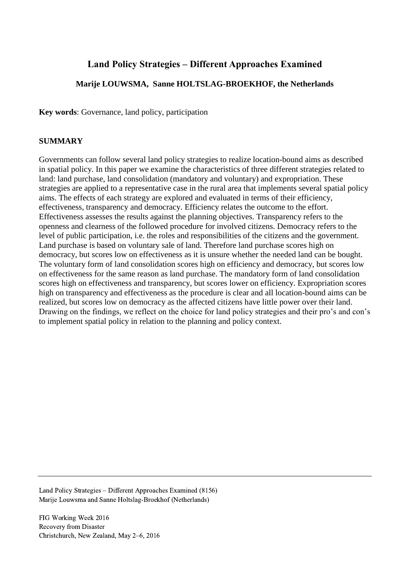# **Land Policy Strategies – Different Approaches Examined**

# **Marije LOUWSMA, Sanne HOLTSLAG-BROEKHOF, the Netherlands**

**Key words**: Governance, land policy, participation

# **SUMMARY**

Governments can follow several land policy strategies to realize location-bound aims as described in spatial policy. In this paper we examine the characteristics of three different strategies related to land: land purchase, land consolidation (mandatory and voluntary) and expropriation. These strategies are applied to a representative case in the rural area that implements several spatial policy aims. The effects of each strategy are explored and evaluated in terms of their efficiency, effectiveness, transparency and democracy. Efficiency relates the outcome to the effort. Effectiveness assesses the results against the planning objectives. Transparency refers to the openness and clearness of the followed procedure for involved citizens. Democracy refers to the level of public participation, i.e. the roles and responsibilities of the citizens and the government. Land purchase is based on voluntary sale of land. Therefore land purchase scores high on democracy, but scores low on effectiveness as it is unsure whether the needed land can be bought. The voluntary form of land consolidation scores high on efficiency and democracy, but scores low on effectiveness for the same reason as land purchase. The mandatory form of land consolidation scores high on effectiveness and transparency, but scores lower on efficiency. Expropriation scores high on transparency and effectiveness as the procedure is clear and all location-bound aims can be realized, but scores low on democracy as the affected citizens have little power over their land. Drawing on the findings, we reflect on the choice for land policy strategies and their pro's and con's to implement spatial policy in relation to the planning and policy context.

Land Policy Strategies – Different Approaches Examined (8156) Marije Louwsma and Sanne Holtslag-Broekhof (Netherlands)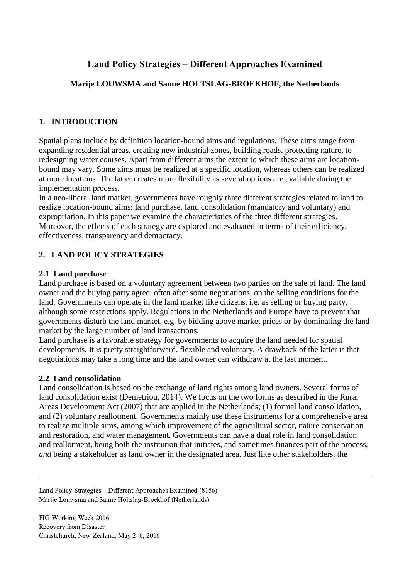# **Land Policy Strategies – Different Approaches Examined**

# **Marije LOUWSMA and Sanne HOLTSLAG-BROEKHOF, the Netherlands**

# **1. INTRODUCTION**

Spatial plans include by definition location-bound aims and regulations. These aims range from expanding residential areas, creating new industrial zones, building roads, protecting nature, to redesigning water courses. Apart from different aims the extent to which these aims are locationbound may vary. Some aims must be realized at a specific location, whereas others can be realized at more locations. The latter creates more flexibility as several options are available during the implementation process.

In a neo-liberal land market, governments have roughly three different strategies related to land to realize location-bound aims: land purchase, land consolidation (mandatory and voluntary) and expropriation. In this paper we examine the characteristics of the three different strategies. Moreover, the effects of each strategy are explored and evaluated in terms of their efficiency, effectiveness, transparency and democracy.

# **2. LAND POLICY STRATEGIES**

# **2.1 Land purchase**

Land purchase is based on a voluntary agreement between two parties on the sale of land. The land owner and the buying party agree, often after some negotiations, on the selling conditions for the land. Governments can operate in the land market like citizens, i.e. as selling or buying party, although some restrictions apply. Regulations in the Netherlands and Europe have to prevent that governments disturb the land market, e.g. by bidding above market prices or by dominating the land market by the large number of land transactions.

Land purchase is a favorable strategy for governments to acquire the land needed for spatial developments. It is pretty straightforward, flexible and voluntary. A drawback of the latter is that negotiations may take a long time and the land owner can withdraw at the last moment.

## **2.2 Land consolidation**

Land consolidation is based on the exchange of land rights among land owners. Several forms of land consolidation exist (Demetriou, 2014). We focus on the two forms as described in the Rural Areas Development Act (2007) that are applied in the Netherlands; (1) formal land consolidation, and (2) voluntary reallotment. Governments mainly use these instruments for a comprehensive area to realize multiple aims, among which improvement of the agricultural sector, nature conservation and restoration, and water management. Governments can have a dual role in land consolidation and reallotment, being both the institution that initiates, and sometimes finances part of the process, *and* being a stakeholder as land owner in the designated area. Just like other stakeholders, the

Land Policy Strategies – Different Approaches Examined (8156) Marije Louwsma and Sanne Holtslag-Broekhof (Netherlands)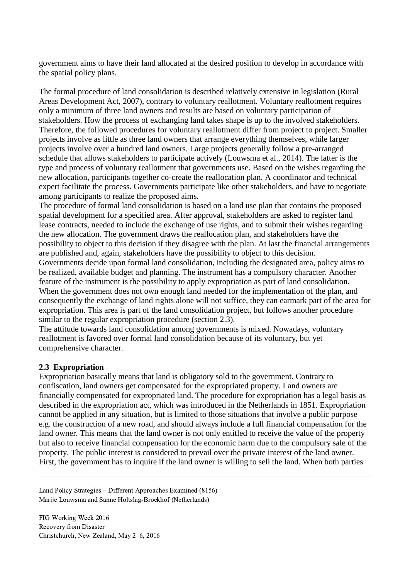government aims to have their land allocated at the desired position to develop in accordance with the spatial policy plans.

The formal procedure of land consolidation is described relatively extensive in legislation (Rural Areas Development Act, 2007), contrary to voluntary reallotment. Voluntary reallotment requires only a minimum of three land owners and results are based on voluntary participation of stakeholders. How the process of exchanging land takes shape is up to the involved stakeholders. Therefore, the followed procedures for voluntary reallotment differ from project to project. Smaller projects involve as little as three land owners that arrange everything themselves, while larger projects involve over a hundred land owners. Large projects generally follow a pre-arranged schedule that allows stakeholders to participate actively (Louwsma et al., 2014). The latter is the type and process of voluntary reallotment that governments use. Based on the wishes regarding the new allocation, participants together co-create the reallocation plan. A coordinator and technical expert facilitate the process. Governments participate like other stakeholders, and have to negotiate among participants to realize the proposed aims.

The procedure of formal land consolidation is based on a land use plan that contains the proposed spatial development for a specified area. After approval, stakeholders are asked to register land lease contracts, needed to include the exchange of use rights, and to submit their wishes regarding the new allocation. The government draws the reallocation plan, and stakeholders have the possibility to object to this decision if they disagree with the plan. At last the financial arrangements are published and, again, stakeholders have the possibility to object to this decision. Governments decide upon formal land consolidation, including the designated area, policy aims to be realized, available budget and planning. The instrument has a compulsory character. Another feature of the instrument is the possibility to apply expropriation as part of land consolidation. When the government does not own enough land needed for the implementation of the plan, and consequently the exchange of land rights alone will not suffice, they can earmark part of the area for

expropriation. This area is part of the land consolidation project, but follows another procedure similar to the regular expropriation procedure (section [2.3\)](#page-2-0).

The attitude towards land consolidation among governments is mixed. Nowadays, voluntary reallotment is favored over formal land consolidation because of its voluntary, but yet comprehensive character.

## <span id="page-2-0"></span>**2.3 Expropriation**

Expropriation basically means that land is obligatory sold to the government. Contrary to confiscation, land owners get compensated for the expropriated property. Land owners are financially compensated for expropriated land. The procedure for expropriation has a legal basis as described in the expropriation act, which was introduced in the Netherlands in 1851. Expropriation cannot be applied in any situation, but is limited to those situations that involve a public purpose e.g. the construction of a new road, and should always include a full financial compensation for the land owner. This means that the land owner is not only entitled to receive the value of the property but also to receive financial compensation for the economic harm due to the compulsory sale of the property. The public interest is considered to prevail over the private interest of the land owner. First, the government has to inquire if the land owner is willing to sell the land. When both parties

Land Policy Strategies – Different Approaches Examined (8156) Marije Louwsma and Sanne Holtslag-Broekhof (Netherlands)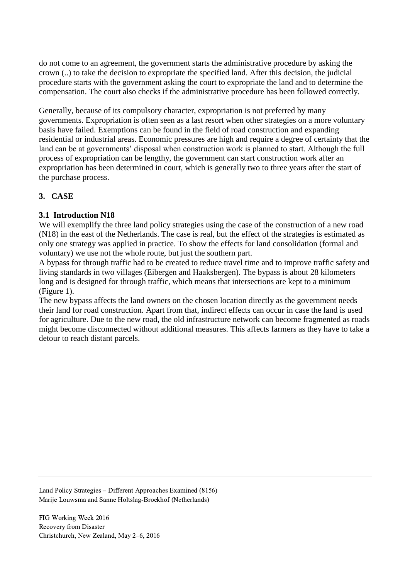do not come to an agreement, the government starts the administrative procedure by asking the crown (..) to take the decision to expropriate the specified land. After this decision, the judicial procedure starts with the government asking the court to expropriate the land and to determine the compensation. The court also checks if the administrative procedure has been followed correctly.

Generally, because of its compulsory character, expropriation is not preferred by many governments. Expropriation is often seen as a last resort when other strategies on a more voluntary basis have failed. Exemptions can be found in the field of road construction and expanding residential or industrial areas. Economic pressures are high and require a degree of certainty that the land can be at governments' disposal when construction work is planned to start. Although the full process of expropriation can be lengthy, the government can start construction work after an expropriation has been determined in court, which is generally two to three years after the start of the purchase process.

# **3. CASE**

## **3.1 Introduction N18**

We will exemplify the three land policy strategies using the case of the construction of a new road (N18) in the east of the Netherlands. The case is real, but the effect of the strategies is estimated as only one strategy was applied in practice. To show the effects for land consolidation (formal and voluntary) we use not the whole route, but just the southern part.

A bypass for through traffic had to be created to reduce travel time and to improve traffic safety and living standards in two villages (Eibergen and Haaksbergen). The bypass is about 28 kilometers long and is designed for through traffic, which means that intersections are kept to a minimum [\(Figure 1\)](#page-4-0).

The new bypass affects the land owners on the chosen location directly as the government needs their land for road construction. Apart from that, indirect effects can occur in case the land is used for agriculture. Due to the new road, the old infrastructure network can become fragmented as roads might become disconnected without additional measures. This affects farmers as they have to take a detour to reach distant parcels.

Land Policy Strategies – Different Approaches Examined (8156) Marije Louwsma and Sanne Holtslag-Broekhof (Netherlands)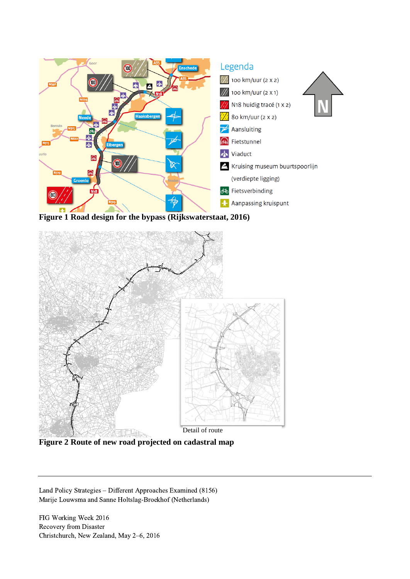

<span id="page-4-0"></span>**Figure 1 Road design for the bypass (Rijkswaterstaat, 2016)**



**Figure 2 Route of new road projected on cadastral map**

Land Policy Strategies – Different Approaches Examined (8156) Marije Louwsma and Sanne Holtslag-Broekhof (Netherlands)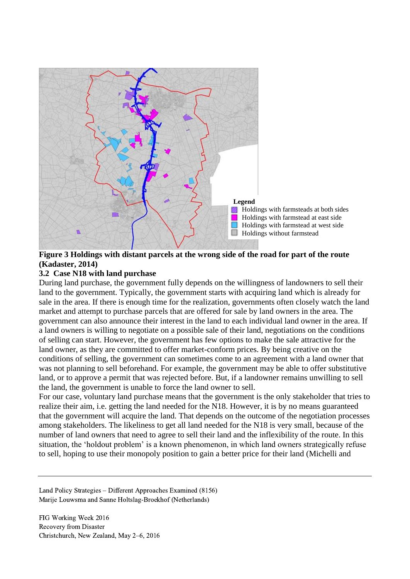

## <span id="page-5-0"></span>**Figure 3 Holdings with distant parcels at the wrong side of the road for part of the route (Kadaster, 2014)**

#### **3.2 Case N18 with land purchase**

During land purchase, the government fully depends on the willingness of landowners to sell their land to the government. Typically, the government starts with acquiring land which is already for sale in the area. If there is enough time for the realization, governments often closely watch the land market and attempt to purchase parcels that are offered for sale by land owners in the area. The government can also announce their interest in the land to each individual land owner in the area. If a land owners is willing to negotiate on a possible sale of their land, negotiations on the conditions of selling can start. However, the government has few options to make the sale attractive for the land owner, as they are committed to offer market-conform prices. By being creative on the conditions of selling, the government can sometimes come to an agreement with a land owner that was not planning to sell beforehand. For example, the government may be able to offer substitutive land, or to approve a permit that was rejected before. But, if a landowner remains unwilling to sell the land, the government is unable to force the land owner to sell.

For our case, voluntary land purchase means that the government is the only stakeholder that tries to realize their aim, i.e. getting the land needed for the N18. However, it is by no means guaranteed that the government will acquire the land. That depends on the outcome of the negotiation processes among stakeholders. The likeliness to get all land needed for the N18 is very small, because of the number of land owners that need to agree to sell their land and the inflexibility of the route. In this situation, the 'holdout problem' is a known phenomenon, in which land owners strategically refuse to sell, hoping to use their monopoly position to gain a better price for their land (Michelli and

Land Policy Strategies – Different Approaches Examined (8156) Marije Louwsma and Sanne Holtslag-Broekhof (Netherlands)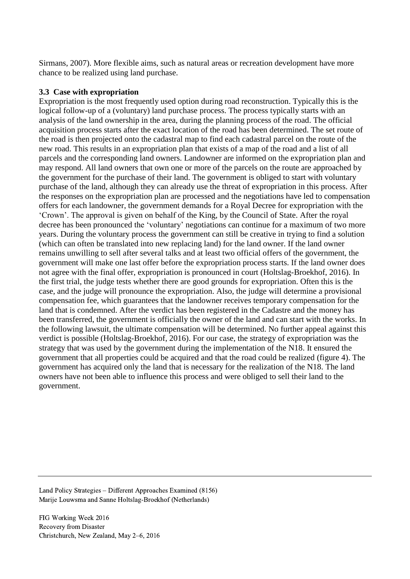Sirmans, 2007). More flexible aims, such as natural areas or recreation development have more chance to be realized using land purchase.

#### **3.3 Case with expropriation**

Expropriation is the most frequently used option during road reconstruction. Typically this is the logical follow-up of a (voluntary) land purchase process. The process typically starts with an analysis of the land ownership in the area, during the planning process of the road. The official acquisition process starts after the exact location of the road has been determined. The set route of the road is then projected onto the cadastral map to find each cadastral parcel on the route of the new road. This results in an expropriation plan that exists of a map of the road and a list of all parcels and the corresponding land owners. Landowner are informed on the expropriation plan and may respond. All land owners that own one or more of the parcels on the route are approached by the government for the purchase of their land. The government is obliged to start with voluntary purchase of the land, although they can already use the threat of expropriation in this process. After the responses on the expropriation plan are processed and the negotiations have led to compensation offers for each landowner, the government demands for a Royal Decree for expropriation with the 'Crown'. The approval is given on behalf of the King, by the Council of State. After the royal decree has been pronounced the 'voluntary' negotiations can continue for a maximum of two more years. During the voluntary process the government can still be creative in trying to find a solution (which can often be translated into new replacing land) for the land owner. If the land owner remains unwilling to sell after several talks and at least two official offers of the government, the government will make one last offer before the expropriation process starts. If the land owner does not agree with the final offer, expropriation is pronounced in court (Holtslag-Broekhof, 2016). In the first trial, the judge tests whether there are good grounds for expropriation. Often this is the case, and the judge will pronounce the expropriation. Also, the judge will determine a provisional compensation fee, which guarantees that the landowner receives temporary compensation for the land that is condemned. After the verdict has been registered in the Cadastre and the money has been transferred, the government is officially the owner of the land and can start with the works. In the following lawsuit, the ultimate compensation will be determined. No further appeal against this verdict is possible (Holtslag-Broekhof, 2016). For our case, the strategy of expropriation was the strategy that was used by the government during the implementation of the N18. It ensured the government that all properties could be acquired and that the road could be realized (figure 4). The government has acquired only the land that is necessary for the realization of the N18. The land owners have not been able to influence this process and were obliged to sell their land to the government.

Land Policy Strategies – Different Approaches Examined (8156) Marije Louwsma and Sanne Holtslag-Broekhof (Netherlands)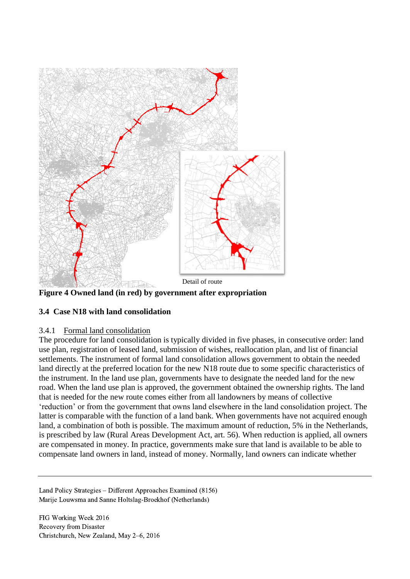![](_page_7_Figure_0.jpeg)

<span id="page-7-0"></span>**Figure 4 Owned land (in red) by government after expropriation**

# **3.4 Case N18 with land consolidation**

## 3.4.1 Formal land consolidation

The procedure for land consolidation is typically divided in five phases, in consecutive order: land use plan, registration of leased land, submission of wishes, reallocation plan, and list of financial settlements. The instrument of formal land consolidation allows government to obtain the needed land directly at the preferred location for the new N18 route due to some specific characteristics of the instrument. In the land use plan, governments have to designate the needed land for the new road. When the land use plan is approved, the government obtained the ownership rights. The land that is needed for the new route comes either from all landowners by means of collective 'reduction' or from the government that owns land elsewhere in the land consolidation project. The latter is comparable with the function of a land bank. When governments have not acquired enough land, a combination of both is possible. The maximum amount of reduction, 5% in the Netherlands, is prescribed by law (Rural Areas Development Act, art. 56). When reduction is applied, all owners are compensated in money. In practice, governments make sure that land is available to be able to compensate land owners in land, instead of money. Normally, land owners can indicate whether

Land Policy Strategies – Different Approaches Examined (8156) Marije Louwsma and Sanne Holtslag-Broekhof (Netherlands)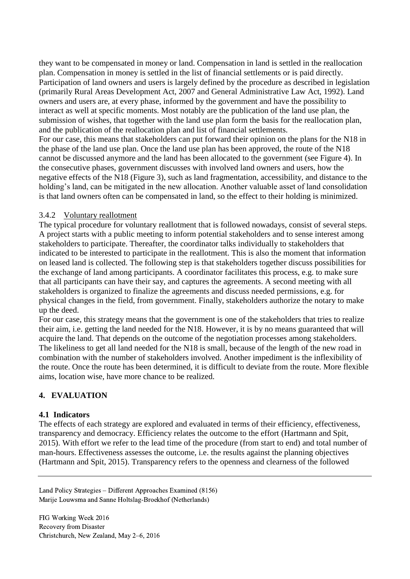they want to be compensated in money or land. Compensation in land is settled in the reallocation plan. Compensation in money is settled in the list of financial settlements or is paid directly. Participation of land owners and users is largely defined by the procedure as described in legislation (primarily Rural Areas Development Act, 2007 and General Administrative Law Act, 1992). Land owners and users are, at every phase, informed by the government and have the possibility to interact as well at specific moments. Most notably are the publication of the land use plan, the submission of wishes, that together with the land use plan form the basis for the reallocation plan, and the publication of the reallocation plan and list of financial settlements. For our case, this means that stakeholders can put forward their opinion on the plans for the N18 in the phase of the land use plan. Once the land use plan has been approved, the route of the N18 cannot be discussed anymore and the land has been allocated to the government (see [Figure](#page-7-0) 4). In the consecutive phases, government discusses with involved land owners and users, how the negative effects of the N18 [\(Figure 3\)](#page-5-0), such as land fragmentation, accessibility, and distance to the holding's land, can be mitigated in the new allocation. Another valuable asset of land consolidation

is that land owners often can be compensated in land, so the effect to their holding is minimized.

#### 3.4.2 Voluntary reallotment

The typical procedure for voluntary reallotment that is followed nowadays, consist of several steps. A project starts with a public meeting to inform potential stakeholders and to sense interest among stakeholders to participate. Thereafter, the coordinator talks individually to stakeholders that indicated to be interested to participate in the reallotment. This is also the moment that information on leased land is collected. The following step is that stakeholders together discuss possibilities for the exchange of land among participants. A coordinator facilitates this process, e.g. to make sure that all participants can have their say, and captures the agreements. A second meeting with all stakeholders is organized to finalize the agreements and discuss needed permissions, e.g. for physical changes in the field, from government. Finally, stakeholders authorize the notary to make up the deed.

For our case, this strategy means that the government is one of the stakeholders that tries to realize their aim, i.e. getting the land needed for the N18. However, it is by no means guaranteed that will acquire the land. That depends on the outcome of the negotiation processes among stakeholders. The likeliness to get all land needed for the N18 is small, because of the length of the new road in combination with the number of stakeholders involved. Another impediment is the inflexibility of the route. Once the route has been determined, it is difficult to deviate from the route. More flexible aims, location wise, have more chance to be realized.

## **4. EVALUATION**

#### **4.1 Indicators**

The effects of each strategy are explored and evaluated in terms of their efficiency, effectiveness, transparency and democracy. Efficiency relates the outcome to the effort (Hartmann and Spit, 2015). With effort we refer to the lead time of the procedure (from start to end) and total number of man-hours. Effectiveness assesses the outcome, i.e. the results against the planning objectives (Hartmann and Spit, 2015). Transparency refers to the openness and clearness of the followed

Land Policy Strategies – Different Approaches Examined (8156) Marije Louwsma and Sanne Holtslag-Broekhof (Netherlands)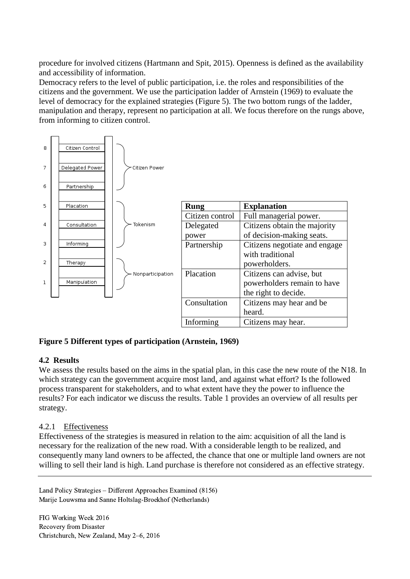procedure for involved citizens (Hartmann and Spit, 2015). Openness is defined as the availability and accessibility of information.

Democracy refers to the level of public participation, i.e. the roles and responsibilities of the citizens and the government. We use the participation ladder of Arnstein (1969) to evaluate the level of democracy for the explained strategies [\(Figure](#page-9-0) 5). The two bottom rungs of the ladder, manipulation and therapy, represent no participation at all. We focus therefore on the rungs above, from informing to citizen control.

| 8 | Citizen Control |                  |                 |                               |
|---|-----------------|------------------|-----------------|-------------------------------|
| 7 | Delegated Power | - Citizen Power  |                 |                               |
| 6 | Partnership     |                  |                 |                               |
| 5 | Placation       |                  | <b>Rung</b>     | <b>Explanation</b>            |
|   |                 |                  | Citizen control | Full managerial power.        |
| 4 | Consultation    | Tokenism         | Delegated       | Citizens obtain the majority  |
|   |                 |                  | power           | of decision-making seats.     |
| 3 | Informing       |                  | Partnership     | Citizens negotiate and engage |
|   |                 |                  |                 | with traditional              |
| 2 | Therapy         |                  |                 | powerholders.                 |
|   |                 | Nonparticipation | Placation       | Citizens can advise, but      |
| 1 | Manipulation    |                  |                 | powerholders remain to have   |
|   |                 |                  |                 | the right to decide.          |
|   |                 |                  | Consultation    | Citizens may hear and be      |
|   |                 |                  |                 | heard.                        |
|   |                 |                  | Informing       | Citizens may hear.            |

# <span id="page-9-0"></span>**Figure 5 Different types of participation (Arnstein, 1969)**

## **4.2 Results**

We assess the results based on the aims in the spatial plan, in this case the new route of the N18. In which strategy can the government acquire most land, and against what effort? Is the followed process transparent for stakeholders, and to what extent have they the power to influence the results? For each indicator we discuss the results. Table 1 provides an overview of all results per strategy.

## 4.2.1 Effectiveness

Effectiveness of the strategies is measured in relation to the aim: acquisition of all the land is necessary for the realization of the new road. With a considerable length to be realized, and consequently many land owners to be affected, the chance that one or multiple land owners are not willing to sell their land is high. Land purchase is therefore not considered as an effective strategy.

Land Policy Strategies – Different Approaches Examined (8156) Marije Louwsma and Sanne Holtslag-Broekhof (Netherlands)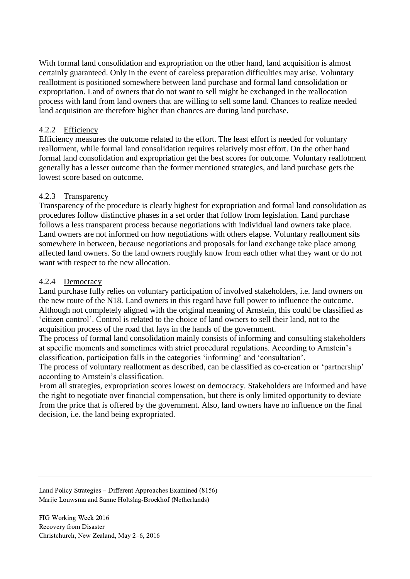With formal land consolidation and expropriation on the other hand, land acquisition is almost certainly guaranteed. Only in the event of careless preparation difficulties may arise. Voluntary reallotment is positioned somewhere between land purchase and formal land consolidation or expropriation. Land of owners that do not want to sell might be exchanged in the reallocation process with land from land owners that are willing to sell some land. Chances to realize needed land acquisition are therefore higher than chances are during land purchase.

# 4.2.2 Efficiency

Efficiency measures the outcome related to the effort. The least effort is needed for voluntary reallotment, while formal land consolidation requires relatively most effort. On the other hand formal land consolidation and expropriation get the best scores for outcome. Voluntary reallotment generally has a lesser outcome than the former mentioned strategies, and land purchase gets the lowest score based on outcome.

# 4.2.3 Transparency

Transparency of the procedure is clearly highest for expropriation and formal land consolidation as procedures follow distinctive phases in a set order that follow from legislation. Land purchase follows a less transparent process because negotiations with individual land owners take place. Land owners are not informed on how negotiations with others elapse. Voluntary reallotment sits somewhere in between, because negotiations and proposals for land exchange take place among affected land owners. So the land owners roughly know from each other what they want or do not want with respect to the new allocation.

## 4.2.4 Democracy

Land purchase fully relies on voluntary participation of involved stakeholders, i.e. land owners on the new route of the N18. Land owners in this regard have full power to influence the outcome. Although not completely aligned with the original meaning of Arnstein, this could be classified as 'citizen control'. Control is related to the choice of land owners to sell their land, not to the acquisition process of the road that lays in the hands of the government.

The process of formal land consolidation mainly consists of informing and consulting stakeholders at specific moments and sometimes with strict procedural regulations. According to Arnstein's classification, participation falls in the categories 'informing' and 'consultation'.

The process of voluntary reallotment as described, can be classified as co-creation or 'partnership' according to Arnstein's classification.

From all strategies, expropriation scores lowest on democracy. Stakeholders are informed and have the right to negotiate over financial compensation, but there is only limited opportunity to deviate from the price that is offered by the government. Also, land owners have no influence on the final decision, i.e. the land being expropriated.

Land Policy Strategies – Different Approaches Examined (8156) Marije Louwsma and Sanne Holtslag-Broekhof (Netherlands)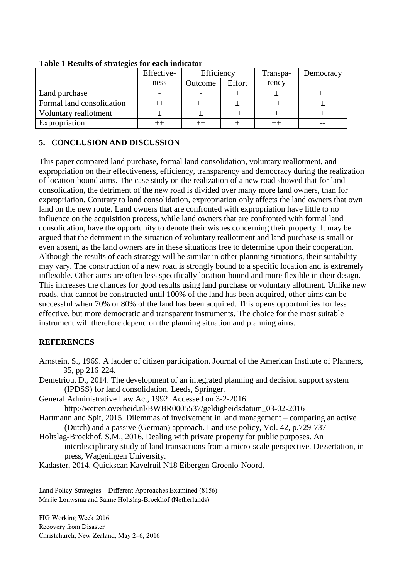| $\sim$                    | Effective- | Efficiency |         | Transpa- | Democracy |
|---------------------------|------------|------------|---------|----------|-----------|
|                           | ness       | Outcome    | Effort  | rency    |           |
| Land purchase             |            |            |         |          |           |
| Formal land consolidation |            |            | 土       | $^{++}$  |           |
| Voluntary reallotment     |            |            | $^{++}$ |          |           |
| Expropriation             |            |            |         |          |           |

#### **Table 1 Results of strategies for each indicator**

# **5. CONCLUSION AND DISCUSSION**

This paper compared land purchase, formal land consolidation, voluntary reallotment, and expropriation on their effectiveness, efficiency, transparency and democracy during the realization of location-bound aims. The case study on the realization of a new road showed that for land consolidation, the detriment of the new road is divided over many more land owners, than for expropriation. Contrary to land consolidation, expropriation only affects the land owners that own land on the new route. Land owners that are confronted with expropriation have little to no influence on the acquisition process, while land owners that are confronted with formal land consolidation, have the opportunity to denote their wishes concerning their property. It may be argued that the detriment in the situation of voluntary reallotment and land purchase is small or even absent, as the land owners are in these situations free to determine upon their cooperation. Although the results of each strategy will be similar in other planning situations, their suitability may vary. The construction of a new road is strongly bound to a specific location and is extremely inflexible. Other aims are often less specifically location-bound and more flexible in their design. This increases the chances for good results using land purchase or voluntary allotment. Unlike new roads, that cannot be constructed until 100% of the land has been acquired, other aims can be successful when 70% or 80% of the land has been acquired. This opens opportunities for less effective, but more democratic and transparent instruments. The choice for the most suitable instrument will therefore depend on the planning situation and planning aims.

# **REFERENCES**

- Arnstein, S., 1969. A ladder of citizen participation. Journal of the American Institute of Planners, 35, pp 216-224.
- Demetriou, D., 2014. The development of an integrated planning and decision support system (IPDSS) for land consolidation. Leeds, Springer.
- General Administrative Law Act, 1992. Accessed on 3-2-2016

http://wetten.overheid.nl/BWBR0005537/geldigheidsdatum\_03-02-2016

- Hartmann and Spit, 2015. Dilemmas of involvement in land management comparing an active (Dutch) and a passive (German) approach. Land use policy, Vol. 42, p.729-737
- Holtslag-Broekhof, S.M., 2016. Dealing with private property for public purposes. An interdisciplinary study of land transactions from a micro-scale perspective. Dissertation, in press, Wageningen University.

Kadaster, 2014. Quickscan Kavelruil N18 Eibergen Groenlo-Noord.

Land Policy Strategies – Different Approaches Examined (8156) Marije Louwsma and Sanne Holtslag-Broekhof (Netherlands)